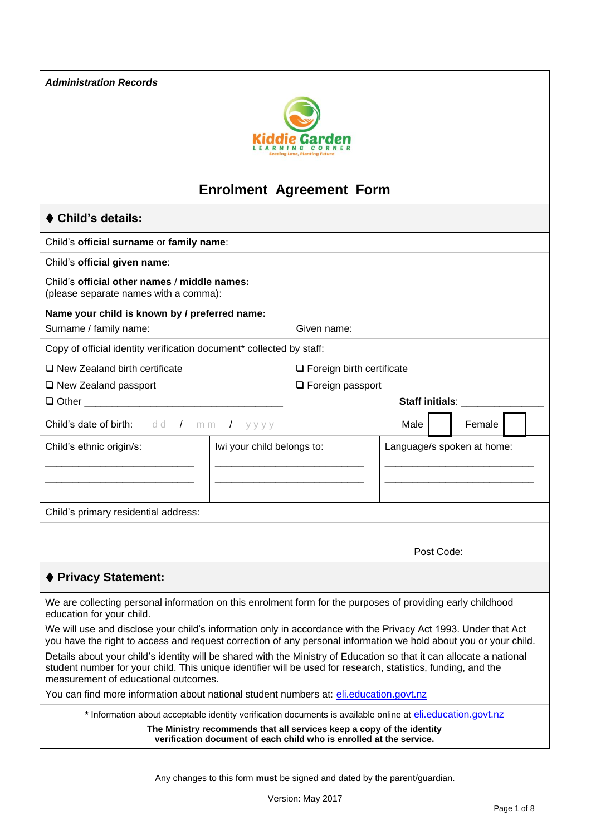*Administration Records*



# **Enrolment Agreement Form**

# ⧫ **Child's details:**

Child's **official surname** or **family name**:

Child's **official given name**:

Child's **official other names** / **middle names:**  (please separate names with a comma):

#### **Name your child is known by / preferred name:**

Surname / family name: Given name: Given name:

Copy of official identity verification document\* collected by staff:

❑ New Zealand birth certificate

❑ New Zealand passport

❑ Foreign birth certificate ❑ Foreign passport

| □ Other<br>–<br>___ |  |
|---------------------|--|
|                     |  |

# **Staff initials**: \_\_\_\_\_\_\_\_\_\_\_\_\_\_\_

| <b>Child's date of birth:</b> dd / mm / yyyy           |  |  | Female                     |  |
|--------------------------------------------------------|--|--|----------------------------|--|
| Child's ethnic origin/s:<br>Iwi your child belongs to: |  |  | Language/s spoken at home: |  |
| Child's primary residential address:                   |  |  |                            |  |

Post Code:

# ⧫ **Privacy Statement:**

We are collecting personal information on this enrolment form for the purposes of providing early childhood education for your child.

We will use and disclose your child's information only in accordance with the Privacy Act 1993. Under that Act you have the right to access and request correction of any personal information we hold about you or your child.

Details about your child's identity will be shared with the Ministry of Education so that it can allocate a national student number for your child. This unique identifier will be used for research, statistics, funding, and the measurement of educational outcomes.

You can find more information about national student numbers at: [eli.education.govt.nz](http://www.eli.education.govt.nz/)

\* Information about acceptable identity verification documents is available online at [eli.education.govt.nz](http://www.eli.education.govt.nz/)

**The Ministry recommends that all services keep a copy of the identity verification document of each child who is enrolled at the service.**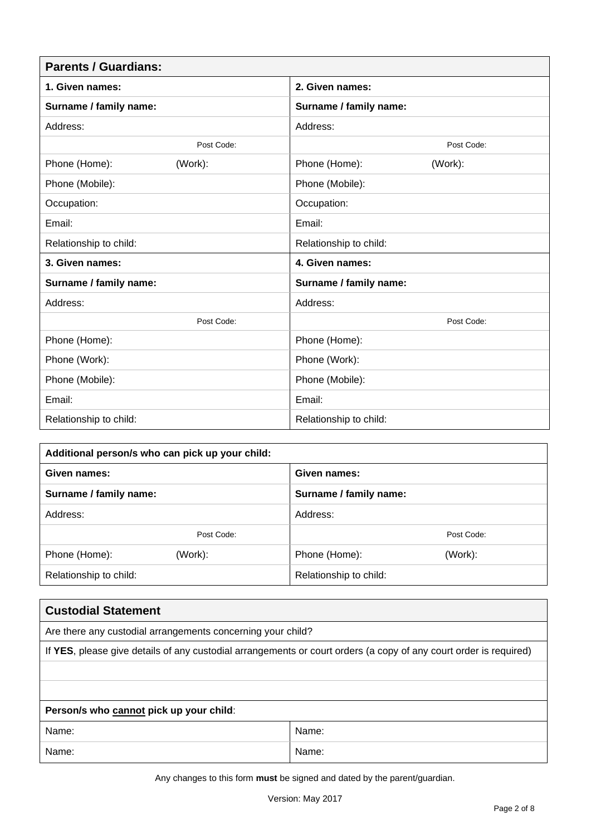| <b>Parents / Guardians:</b> |            |                        |            |  |  |
|-----------------------------|------------|------------------------|------------|--|--|
| 1. Given names:             |            | 2. Given names:        |            |  |  |
| Surname / family name:      |            | Surname / family name: |            |  |  |
| Address:                    |            | Address:               |            |  |  |
|                             | Post Code: |                        | Post Code: |  |  |
| Phone (Home):               | (Work):    | Phone (Home):          | (Work):    |  |  |
| Phone (Mobile):             |            | Phone (Mobile):        |            |  |  |
| Occupation:                 |            | Occupation:            |            |  |  |
| Email:                      |            | Email:                 |            |  |  |
| Relationship to child:      |            | Relationship to child: |            |  |  |
| 3. Given names:             |            | 4. Given names:        |            |  |  |
| Surname / family name:      |            | Surname / family name: |            |  |  |
| Address:                    |            | Address:               |            |  |  |
|                             | Post Code: |                        | Post Code: |  |  |
| Phone (Home):               |            | Phone (Home):          |            |  |  |
| Phone (Work):               |            | Phone (Work):          |            |  |  |
| Phone (Mobile):             |            | Phone (Mobile):        |            |  |  |
| Email:                      |            | Email:                 |            |  |  |
| Relationship to child:      |            | Relationship to child: |            |  |  |

| Additional person/s who can pick up your child: |            |                        |            |  |  |
|-------------------------------------------------|------------|------------------------|------------|--|--|
| Given names:                                    |            | Given names:           |            |  |  |
| Surname / family name:                          |            | Surname / family name: |            |  |  |
| Address:                                        |            | Address:               |            |  |  |
|                                                 | Post Code: |                        | Post Code: |  |  |
| Phone (Home):                                   | (Work):    | Phone (Home):          | (Work):    |  |  |
| Relationship to child:                          |            | Relationship to child: |            |  |  |

| <b>Custodial Statement</b>                                                                                        |       |  |  |  |  |
|-------------------------------------------------------------------------------------------------------------------|-------|--|--|--|--|
| Are there any custodial arrangements concerning your child?                                                       |       |  |  |  |  |
| If YES, please give details of any custodial arrangements or court orders (a copy of any court order is required) |       |  |  |  |  |
|                                                                                                                   |       |  |  |  |  |
|                                                                                                                   |       |  |  |  |  |
| Person/s who cannot pick up your child:                                                                           |       |  |  |  |  |
| Name:                                                                                                             | Name: |  |  |  |  |
| Name:                                                                                                             | Name: |  |  |  |  |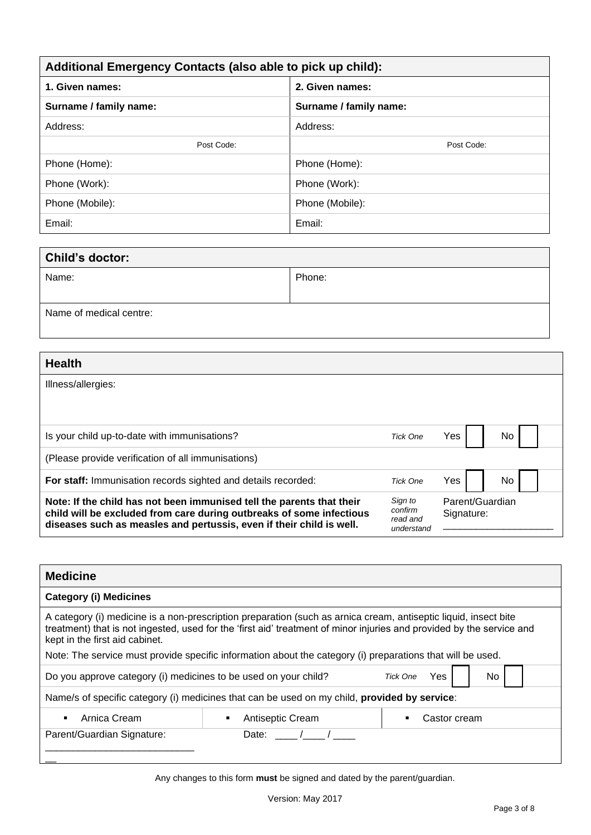| Additional Emergency Contacts (also able to pick up child): |                        |  |  |  |
|-------------------------------------------------------------|------------------------|--|--|--|
| 1. Given names:<br>2. Given names:                          |                        |  |  |  |
| Surname / family name:                                      | Surname / family name: |  |  |  |
| Address:                                                    | Address:               |  |  |  |
| Post Code:                                                  | Post Code:             |  |  |  |
| Phone (Home):                                               | Phone (Home):          |  |  |  |
| Phone (Work):                                               | Phone (Work):          |  |  |  |
| Phone (Mobile):                                             | Phone (Mobile):        |  |  |  |
| Email:                                                      | Email:                 |  |  |  |

| Child's doctor:         |        |  |  |  |
|-------------------------|--------|--|--|--|
| Name:                   | Phone: |  |  |  |
|                         |        |  |  |  |
| Name of medical centre: |        |  |  |  |

| <b>Health</b>                                                                                                                                                                                                         |                                              |                               |    |  |  |
|-----------------------------------------------------------------------------------------------------------------------------------------------------------------------------------------------------------------------|----------------------------------------------|-------------------------------|----|--|--|
| Illness/allergies:                                                                                                                                                                                                    |                                              |                               |    |  |  |
|                                                                                                                                                                                                                       |                                              |                               |    |  |  |
| Is your child up-to-date with immunisations?                                                                                                                                                                          | <b>Tick One</b>                              | Yes                           | No |  |  |
| (Please provide verification of all immunisations)                                                                                                                                                                    |                                              |                               |    |  |  |
| For staff: Immunisation records sighted and details recorded:                                                                                                                                                         | Tick One                                     | Yes                           | No |  |  |
| Note: If the child has not been immunised tell the parents that their<br>child will be excluded from care during outbreaks of some infectious<br>diseases such as measles and pertussis, even if their child is well. | Sign to<br>confirm<br>read and<br>understand | Parent/Guardian<br>Signature: |    |  |  |

| <b>Medicine</b>                                                                                                                                                                                                                                                                                                                                                                          |                                                                                              |                   |  |  |  |  |
|------------------------------------------------------------------------------------------------------------------------------------------------------------------------------------------------------------------------------------------------------------------------------------------------------------------------------------------------------------------------------------------|----------------------------------------------------------------------------------------------|-------------------|--|--|--|--|
| <b>Category (i) Medicines</b>                                                                                                                                                                                                                                                                                                                                                            |                                                                                              |                   |  |  |  |  |
| A category (i) medicine is a non-prescription preparation (such as arnica cream, antiseptic liquid, insect bite<br>treatment) that is not ingested, used for the 'first aid' treatment of minor injuries and provided by the service and<br>kept in the first aid cabinet.<br>Note: The service must provide specific information about the category (i) preparations that will be used. |                                                                                              |                   |  |  |  |  |
| <b>Yes</b><br>No.<br>Do you approve category (i) medicines to be used on your child?<br>Tick One                                                                                                                                                                                                                                                                                         |                                                                                              |                   |  |  |  |  |
|                                                                                                                                                                                                                                                                                                                                                                                          | Name/s of specific category (i) medicines that can be used on my child, provided by service: |                   |  |  |  |  |
| Arnica Cream<br>$\blacksquare$                                                                                                                                                                                                                                                                                                                                                           | Antiseptic Cream                                                                             | Castor cream<br>п |  |  |  |  |
| Parent/Guardian Signature:                                                                                                                                                                                                                                                                                                                                                               | Date:                                                                                        |                   |  |  |  |  |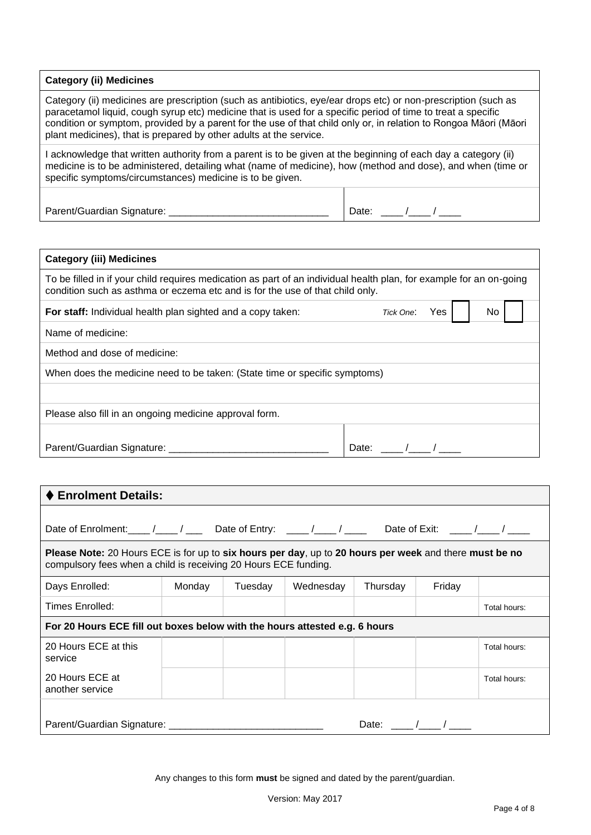#### **Category (ii) Medicines**

Category (ii) medicines are prescription (such as antibiotics, eye/ear drops etc) or non-prescription (such as paracetamol liquid, cough syrup etc) medicine that is used for a specific period of time to treat a specific condition or symptom, provided by a parent for the use of that child only or, in relation to Rongoa Māori (Māori plant medicines), that is prepared by other adults at the service.

I acknowledge that written authority from a parent is to be given at the beginning of each day a category (ii) medicine is to be administered, detailing what (name of medicine), how (method and dose), and when (time or specific symptoms/circumstances) medicine is to be given.

Parent/Guardian Signature: \_\_\_\_\_\_\_\_\_\_\_\_\_\_\_\_\_\_\_\_\_\_\_\_\_\_\_\_\_ Date: \_\_\_\_ /\_\_\_\_ / \_\_\_\_

| <b>Category (iii) Medicines</b>                                                                                                                                                                      |               |    |  |
|------------------------------------------------------------------------------------------------------------------------------------------------------------------------------------------------------|---------------|----|--|
| To be filled in if your child requires medication as part of an individual health plan, for example for an on-going<br>condition such as asthma or eczema etc and is for the use of that child only. |               |    |  |
| For staff: Individual health plan sighted and a copy taken:                                                                                                                                          | Tick One: Yes | No |  |
| Name of medicine:                                                                                                                                                                                    |               |    |  |
| Method and dose of medicine:                                                                                                                                                                         |               |    |  |
| When does the medicine need to be taken: (State time or specific symptoms)                                                                                                                           |               |    |  |
|                                                                                                                                                                                                      |               |    |  |
| Please also fill in an ongoing medicine approval form.                                                                                                                                               |               |    |  |
| Parent/Guardian Signature: _                                                                                                                                                                         | Date:         |    |  |

| ♦ Enrolment Details:                                                                                                                                                      |        |         |           |          |        |              |
|---------------------------------------------------------------------------------------------------------------------------------------------------------------------------|--------|---------|-----------|----------|--------|--------------|
| Date of Enrolment: $\frac{1}{\sqrt{2}}$ / _____ / _____ bate of Entry: _____ / _____ / _____ Date of Exit: _____ / ____ /                                                 |        |         |           |          |        |              |
| Please Note: 20 Hours ECE is for up to six hours per day, up to 20 hours per week and there must be no<br>compulsory fees when a child is receiving 20 Hours ECE funding. |        |         |           |          |        |              |
| Days Enrolled:                                                                                                                                                            | Monday | Tuesdav | Wednesday | Thursday | Friday |              |
| Times Enrolled:                                                                                                                                                           |        |         |           |          |        | Total hours: |
| For 20 Hours ECE fill out boxes below with the hours attested e.g. 6 hours                                                                                                |        |         |           |          |        |              |
| 20 Hours ECE at this<br>service                                                                                                                                           |        |         |           |          |        | Total hours: |
| 20 Hours ECE at<br>another service                                                                                                                                        |        |         |           |          |        | Total hours: |
| Parent/Guardian Signature: ________________________<br>Date: $/$ /                                                                                                        |        |         |           |          |        |              |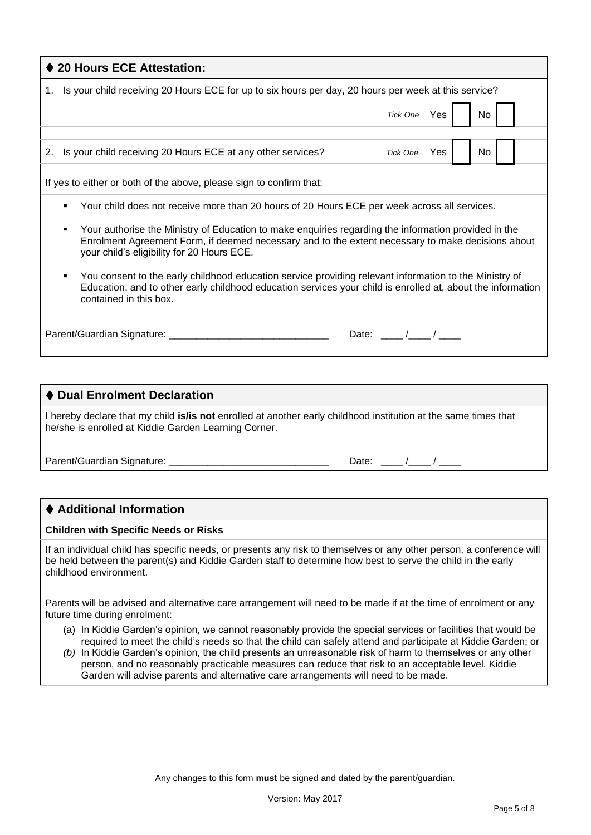| ♦ 20 Hours ECE Attestation:                                                                                                                                                                                                                                       |  |     |  |  |  |  |  |
|-------------------------------------------------------------------------------------------------------------------------------------------------------------------------------------------------------------------------------------------------------------------|--|-----|--|--|--|--|--|
| 1. Is your child receiving 20 Hours ECE for up to six hours per day, 20 hours per week at this service?                                                                                                                                                           |  |     |  |  |  |  |  |
| Tick One Yes                                                                                                                                                                                                                                                      |  | No  |  |  |  |  |  |
|                                                                                                                                                                                                                                                                   |  |     |  |  |  |  |  |
| 2. Is your child receiving 20 Hours ECE at any other services?<br>Tick One Yes                                                                                                                                                                                    |  | No. |  |  |  |  |  |
| If yes to either or both of the above, please sign to confirm that:                                                                                                                                                                                               |  |     |  |  |  |  |  |
| Your child does not receive more than 20 hours of 20 Hours ECE per week across all services.                                                                                                                                                                      |  |     |  |  |  |  |  |
| Your authorise the Ministry of Education to make enquiries regarding the information provided in the<br>٠<br>Enrolment Agreement Form, if deemed necessary and to the extent necessary to make decisions about<br>your child's eligibility for 20 Hours ECE.      |  |     |  |  |  |  |  |
| You consent to the early childhood education service providing relevant information to the Ministry of<br>$\blacksquare$<br>Education, and to other early childhood education services your child is enrolled at, about the information<br>contained in this box. |  |     |  |  |  |  |  |
| Parent/Guardian Signature: __________<br>Date: $\frac{1}{\sqrt{2\pi}}$                                                                                                                                                                                            |  |     |  |  |  |  |  |

| ♦ Dual Enrolment Declaration                                                                                                                                                   |                  |
|--------------------------------------------------------------------------------------------------------------------------------------------------------------------------------|------------------|
| I hereby declare that my child <b>is/is not</b> enrolled at another early childhood institution at the same times that<br>he/she is enrolled at Kiddie Garden Learning Corner. |                  |
| Parent/Guardian Signature:                                                                                                                                                     | Date: $\sqrt{2}$ |

# ⧫ **Additional Information**

#### **Children with Specific Needs or Risks**

If an individual child has specific needs, or presents any risk to themselves or any other person, a conference will be held between the parent(s) and Kiddie Garden staff to determine how best to serve the child in the early childhood environment.

Parents will be advised and alternative care arrangement will need to be made if at the time of enrolment or any future time during enrolment:

- (a) In Kiddie Garden's opinion, we cannot reasonably provide the special services or facilities that would be required to meet the child's needs so that the child can safely attend and participate at Kiddie Garden; or
- *(b)* In Kiddie Garden's opinion, the child presents an unreasonable risk of harm to themselves or any other person, and no reasonably practicable measures can reduce that risk to an acceptable level. Kiddie Garden will advise parents and alternative care arrangements will need to be made.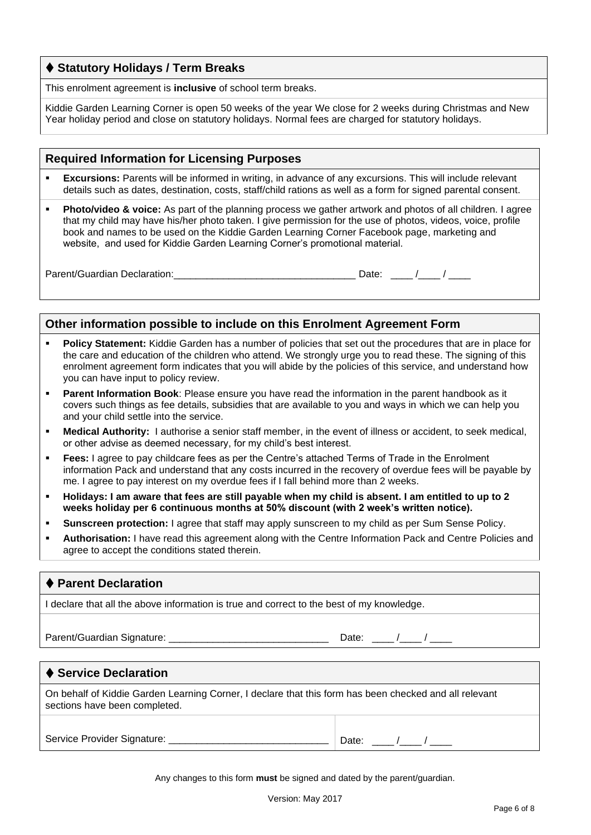# ⧫ **Statutory Holidays / Term Breaks**

This enrolment agreement is **inclusive** of school term breaks.

Kiddie Garden Learning Corner is open 50 weeks of the year We close for 2 weeks during Christmas and New Year holiday period and close on statutory holidays. Normal fees are charged for statutory holidays.

#### **Required Information for Licensing Purposes**

- **Excursions:** Parents will be informed in writing, in advance of any excursions. This will include relevant details such as dates, destination, costs, staff/child rations as well as a form for signed parental consent.
- **Photo/video & voice:** As part of the planning process we gather artwork and photos of all children. I agree that my child may have his/her photo taken. I give permission for the use of photos, videos, voice, profile book and names to be used on the Kiddie Garden Learning Corner Facebook page, marketing and website, and used for Kiddie Garden Learning Corner's promotional material.

Parent/Guardian Declaration:\_\_\_\_\_\_\_\_\_\_\_\_\_\_\_\_\_\_\_\_\_\_\_\_\_\_\_\_\_\_\_\_\_ Date: \_\_\_\_ /\_\_\_\_ / \_\_\_\_

| ٠<br>. .<br>×<br>w |  |  |
|--------------------|--|--|
|                    |  |  |

### **Other information possible to include on this Enrolment Agreement Form**

- **Policy Statement:** Kiddie Garden has a number of policies that set out the procedures that are in place for the care and education of the children who attend. We strongly urge you to read these. The signing of this enrolment agreement form indicates that you will abide by the policies of this service, and understand how you can have input to policy review.
- **Parent Information Book**: Please ensure you have read the information in the parent handbook as it covers such things as fee details, subsidies that are available to you and ways in which we can help you and your child settle into the service.
- **Medical Authority:** I authorise a senior staff member, in the event of illness or accident, to seek medical, or other advise as deemed necessary, for my child's best interest.
- **Fees:** I agree to pay childcare fees as per the Centre's attached Terms of Trade in the Enrolment information Pack and understand that any costs incurred in the recovery of overdue fees will be payable by me. I agree to pay interest on my overdue fees if I fall behind more than 2 weeks.
- **Holidays: I am aware that fees are still payable when my child is absent. I am entitled to up to 2 weeks holiday per 6 continuous months at 50% discount (with 2 week's written notice).**
- **Sunscreen protection:** I agree that staff may apply sunscreen to my child as per Sum Sense Policy.
- **Authorisation:** I have read this agreement along with the Centre Information Pack and Centre Policies and agree to accept the conditions stated therein.

#### ⧫ **Parent Declaration**

I declare that all the above information is true and correct to the best of my knowledge.

Parent/Guardian Signature: \_\_\_\_\_\_\_\_\_\_\_\_\_\_\_\_\_\_\_\_\_\_\_\_\_\_\_\_\_ Date: \_\_\_\_ /\_\_\_\_ / \_\_\_\_

#### **♦ Service Declaration**

On behalf of Kiddie Garden Learning Corner, I declare that this form has been checked and all relevant sections have been completed.

Service Provider Signature: \_\_\_\_\_\_\_\_\_\_\_\_\_\_\_\_\_\_\_\_\_\_\_\_\_\_\_\_\_\_\_\_\_\_ Date: \_\_\_\_ /\_\_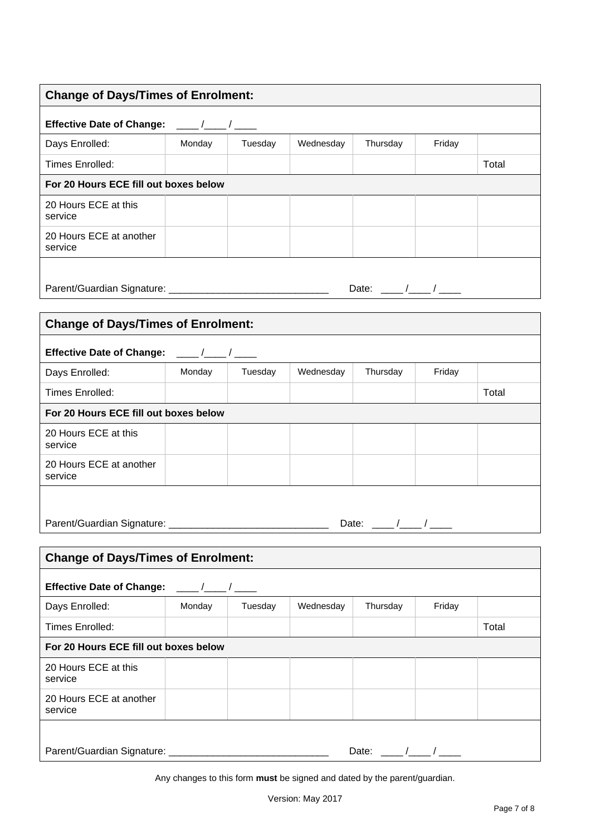| <b>Change of Days/Times of Enrolment:</b>                                                                                                                                                                                                                                                                                                               |        |         |           |          |        |       |  |
|---------------------------------------------------------------------------------------------------------------------------------------------------------------------------------------------------------------------------------------------------------------------------------------------------------------------------------------------------------|--------|---------|-----------|----------|--------|-------|--|
| Effective Date of Change: ____/___/____                                                                                                                                                                                                                                                                                                                 |        |         |           |          |        |       |  |
| Days Enrolled:                                                                                                                                                                                                                                                                                                                                          | Monday | Tuesday | Wednesday | Thursday | Friday |       |  |
| Times Enrolled:                                                                                                                                                                                                                                                                                                                                         |        |         |           |          |        | Total |  |
| For 20 Hours ECE fill out boxes below                                                                                                                                                                                                                                                                                                                   |        |         |           |          |        |       |  |
| 20 Hours ECE at this<br>service                                                                                                                                                                                                                                                                                                                         |        |         |           |          |        |       |  |
| 20 Hours ECE at another<br>service                                                                                                                                                                                                                                                                                                                      |        |         |           |          |        |       |  |
| Date: $\frac{1}{\sqrt{1-\frac{1}{2}}}$                                                                                                                                                                                                                                                                                                                  |        |         |           |          |        |       |  |
| <b>Change of Days/Times of Enrolment:</b>                                                                                                                                                                                                                                                                                                               |        |         |           |          |        |       |  |
| Effective Date of Change: ___/__/___/                                                                                                                                                                                                                                                                                                                   |        |         |           |          |        |       |  |
| Days Enrolled:                                                                                                                                                                                                                                                                                                                                          | Monday | Tuesday | Wednesday | Thursday | Friday |       |  |
| Times Enrolled:                                                                                                                                                                                                                                                                                                                                         |        |         |           |          |        | Total |  |
| For 20 Hours ECE fill out boxes below                                                                                                                                                                                                                                                                                                                   |        |         |           |          |        |       |  |
| 20 Hours ECE at this<br>service                                                                                                                                                                                                                                                                                                                         |        |         |           |          |        |       |  |
| 20 Hours ECE at another<br>service                                                                                                                                                                                                                                                                                                                      |        |         |           |          |        |       |  |
| Parent/Guardian Signature: ______<br>Date: $\frac{\ }{\ }$                                                                                                                                                                                                                                                                                              |        |         |           |          |        |       |  |
| <b>Change of Days/Times of Enrolment:</b>                                                                                                                                                                                                                                                                                                               |        |         |           |          |        |       |  |
| <b>Effective Date of Change:</b><br>$\frac{1}{2}$ $\frac{1}{2}$ $\frac{1}{2}$ $\frac{1}{2}$ $\frac{1}{2}$ $\frac{1}{2}$ $\frac{1}{2}$ $\frac{1}{2}$ $\frac{1}{2}$ $\frac{1}{2}$ $\frac{1}{2}$ $\frac{1}{2}$ $\frac{1}{2}$ $\frac{1}{2}$ $\frac{1}{2}$ $\frac{1}{2}$ $\frac{1}{2}$ $\frac{1}{2}$ $\frac{1}{2}$ $\frac{1}{2}$ $\frac{1}{2}$ $\frac{1}{2}$ |        |         |           |          |        |       |  |
| Days Enrolled:                                                                                                                                                                                                                                                                                                                                          | Monday | Tuesday | Wednesday | Thursday | Friday |       |  |
| Times Enrolled:                                                                                                                                                                                                                                                                                                                                         |        |         |           |          |        | Total |  |
| For 20 Hours ECE fill out boxes below                                                                                                                                                                                                                                                                                                                   |        |         |           |          |        |       |  |
| 20 Hours ECE at this<br>service                                                                                                                                                                                                                                                                                                                         |        |         |           |          |        |       |  |
| 20 Hours ECE at another<br>service                                                                                                                                                                                                                                                                                                                      |        |         |           |          |        |       |  |
| Date: $\frac{1}{\sqrt{2\pi}}$                                                                                                                                                                                                                                                                                                                           |        |         |           |          |        |       |  |